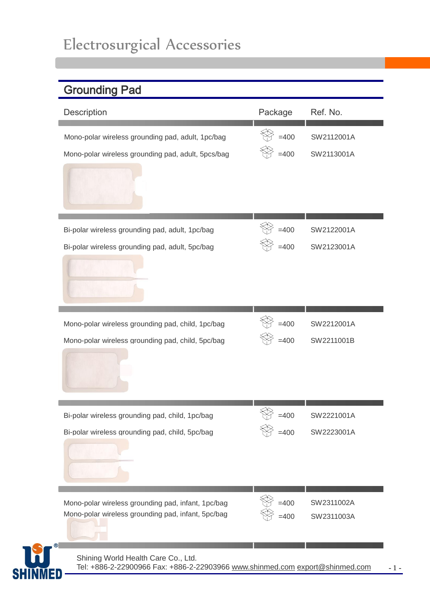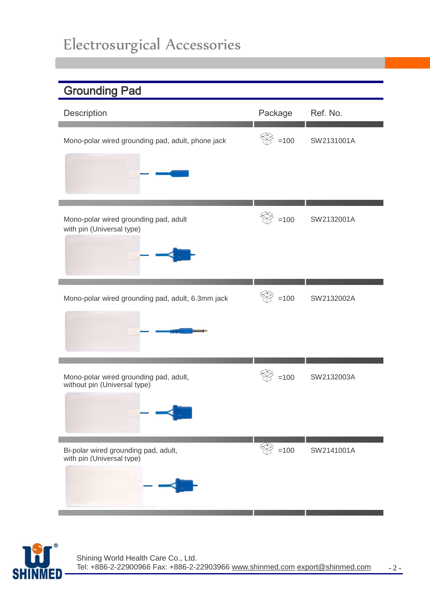| <b>Grounding Pad</b>                                                   |                         |            |
|------------------------------------------------------------------------|-------------------------|------------|
| Description                                                            | Package                 | Ref. No.   |
| Mono-polar wired grounding pad, adult, phone jack                      | $\degree$ =100          | SW2131001A |
| Mono-polar wired grounding pad, adult<br>with pin (Universal type)     | $=100$                  | SW2132001A |
| Mono-polar wired grounding pad, adult, 6.3mm jack                      | $\hat{\mathbb{Y}}$ =100 | SW2132002A |
| Mono-polar wired grounding pad, adult,<br>without pin (Universal type) | $=100$                  | SW2132003A |
| Bi-polar wired grounding pad, adult,<br>with pin (Universal type)      | $\circled{2}$ =100      | SW2141001A |

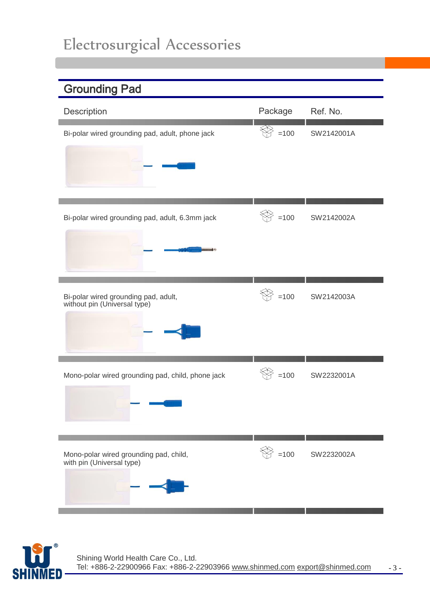| <b>Grounding Pad</b>                                                 |                                            |            |
|----------------------------------------------------------------------|--------------------------------------------|------------|
| Description                                                          | Package                                    | Ref. No.   |
| Bi-polar wired grounding pad, adult, phone jack                      | $=100$                                     | SW2142001A |
| Bi-polar wired grounding pad, adult, 6.3mm jack                      | $=100$                                     | SW2142002A |
| Bi-polar wired grounding pad, adult,<br>without pin (Universal type) | $=100$                                     | SW2142003A |
| Mono-polar wired grounding pad, child, phone jack                    | $=100$                                     | SW2232001A |
| Mono-polar wired grounding pad, child,<br>with pin (Universal type)  | $\quad \  \  \, \widehat{\otimes} \,$ =100 | SW2232002A |